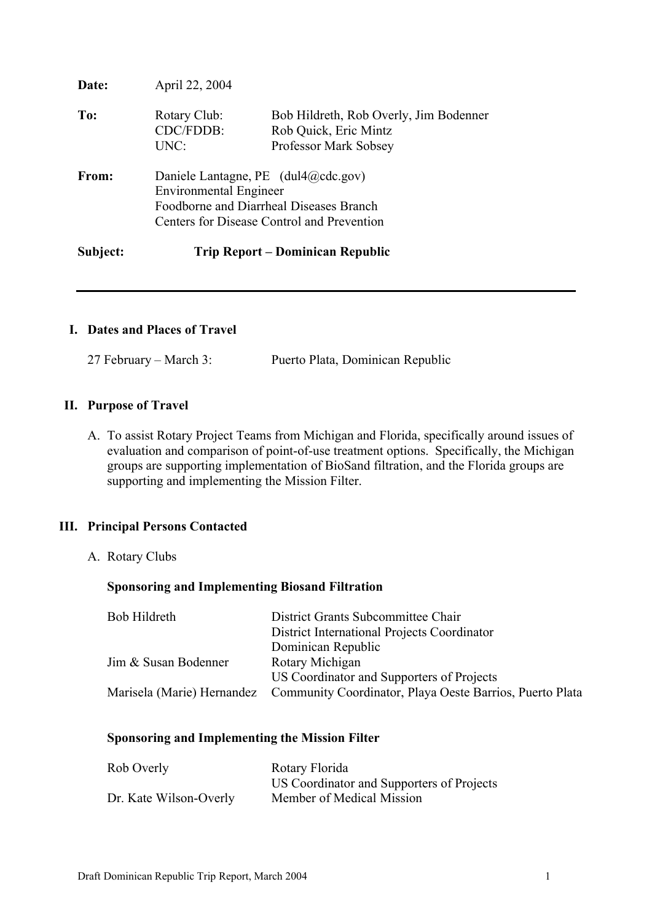| Subject: |                               | Trip Report – Dominican Republic           |
|----------|-------------------------------|--------------------------------------------|
|          |                               | Centers for Disease Control and Prevention |
|          |                               | Foodborne and Diarrheal Diseases Branch    |
|          | <b>Environmental Engineer</b> |                                            |
| From:    |                               | Daniele Lantagne, PE $(du14@cdc.gov)$      |
|          | UNC:                          | Professor Mark Sobsey                      |
|          | CDC/FDDB:                     | Rob Quick, Eric Mintz                      |
| To:      | Rotary Club:                  | Bob Hildreth, Rob Overly, Jim Bodenner     |
| Date:    | April 22, 2004                |                                            |

## **I. Dates and Places of Travel**

**27 February – March 3: Puerto Plata, Dominican Republic**

#### **II. Purpose of Travel**

**A. To assist Rotary Project Teams from Michigan and Florida, specifically around issues of evaluation and comparison of point-of-use treatment options. Specifically, the Michigan groups are supporting implementation of BioSand filtration, and the Florida groups are supporting and implementing the Mission Filter.**

## **III. Principal Persons Contacted**

**A. Rotary Clubs**

## **Sponsoring and Implementing Biosand Filtration**

| Bob Hildreth         | District Grants Subcommittee Chair                                                  |
|----------------------|-------------------------------------------------------------------------------------|
|                      | District International Projects Coordinator                                         |
|                      | Dominican Republic                                                                  |
| Jim & Susan Bodenner | Rotary Michigan                                                                     |
|                      | US Coordinator and Supporters of Projects                                           |
|                      | Marisela (Marie) Hernandez Community Coordinator, Playa Oeste Barrios, Puerto Plata |

## **Sponsoring and Implementing the Mission Filter**

| Rob Overly             | Rotary Florida                            |
|------------------------|-------------------------------------------|
|                        | US Coordinator and Supporters of Projects |
| Dr. Kate Wilson-Overly | Member of Medical Mission                 |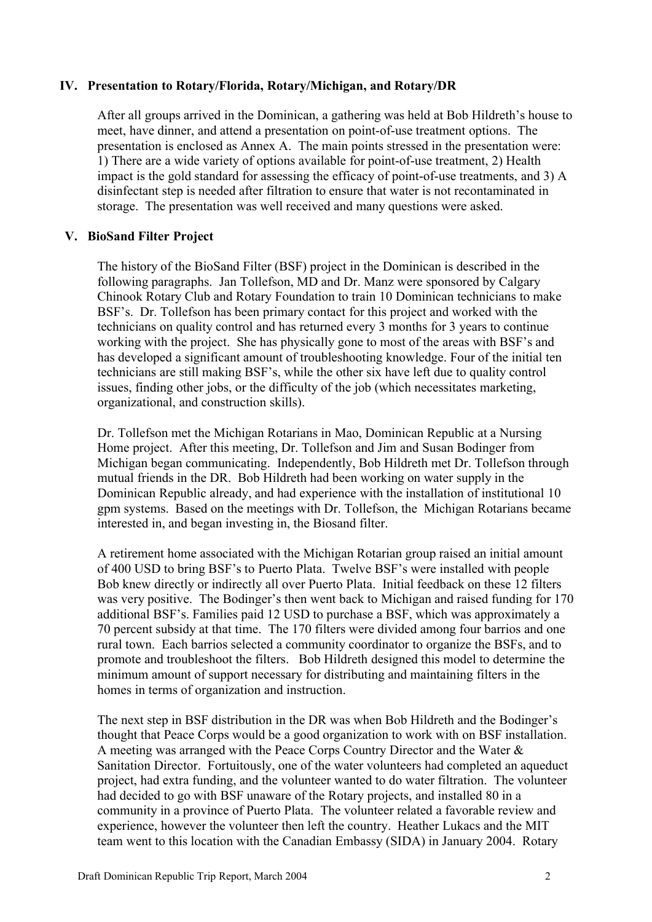## **IV. Presentation to Rotary/Florida, Rotary/Michigan, and Rotary/DR**

**After all groups arrived in the Dominican, a gathering was held at Bob Hildreth's house to meet, have dinner, and attend a presentation on point-of-use treatment options. The presentation is enclosed as Annex A. The main points stressed in the presentation were: 1) There are a wide variety of options available for point-of-use treatment, 2) Health impact is the gold standard for assessing the efficacy of point-of-use treatments, and 3) A disinfectant step is needed after filtration to ensure that water is not recontaminated in storage. The presentation was well received and many questions were asked.**

## **V. BioSand Filter Project**

**The history of the BioSand Filter (BSF) project in the Dominican is described in the following paragraphs. Jan Tollefson, MD and Dr. Manz were sponsored by Calgary Chinook Rotary Club and Rotary Foundation to train 10 Dominican technicians to make BSF's. Dr. Tollefson has been primary contact for this project and worked with the technicians on quality control and has returned every 3 months for 3 years to continue working with the project. She has physically gone to most of the areas with BSF's and has developed a significant amount of troubleshooting knowledge. Four of the initial ten technicians are still making BSF's, while the other six have left due to quality control issues, finding other jobs, or the difficulty of the job (which necessitates marketing, organizational, and construction skills).**

**Dr. Tollefson met the Michigan Rotarians in Mao, Dominican Republic at a Nursing Home project. After this meeting, Dr. Tollefson and Jim and Susan Bodinger from Michigan began communicating. Independently, Bob Hildreth met Dr. Tollefson through mutual friends in the DR. Bob Hildreth had been working on water supply in the Dominican Republic already, and had experience with the installation of institutional 10 gpm systems. Based on the meetings with Dr. Tollefson, the Michigan Rotarians became interested in, and began investing in, the Biosand filter.**

**A retirement home associated with the Michigan Rotarian group raised an initial amount of 400 USD to bring BSF's to Puerto Plata. Twelve BSF's were installed with people Bob knew directly or indirectly all over Puerto Plata. Initial feedback on these 12 filters was very positive. The Bodinger's then went back to Michigan and raised funding for 170 additional BSF's. Families paid 12 USD to purchase a BSF, which was approximately a 70 percent subsidy at that time. The 170 filters were divided among four barrios and one rural town. Each barrios selected a community coordinator to organize the BSFs, and to promote and troubleshoot the filters. Bob Hildreth designed this model to determine the minimum amount of support necessary for distributing and maintaining filters in the homes in terms of organization and instruction.**

**The next step in BSF distribution in the DR was when Bob Hildreth and the Bodinger's thought that Peace Corps would be a good organization to work with on BSF installation. A meeting was arranged with the Peace Corps Country Director and the Water & Sanitation Director. Fortuitously, one of the water volunteers had completed an aqueduct project, had extra funding, and the volunteer wanted to do water filtration. The volunteer had decided to go with BSF unaware of the Rotary projects, and installed 80 in a community in a province of Puerto Plata. The volunteer related a favorable review and experience, however the volunteer then left the country. Heather Lukacs and the MIT team went to this location with the Canadian Embassy (SIDA) in January 2004. Rotary**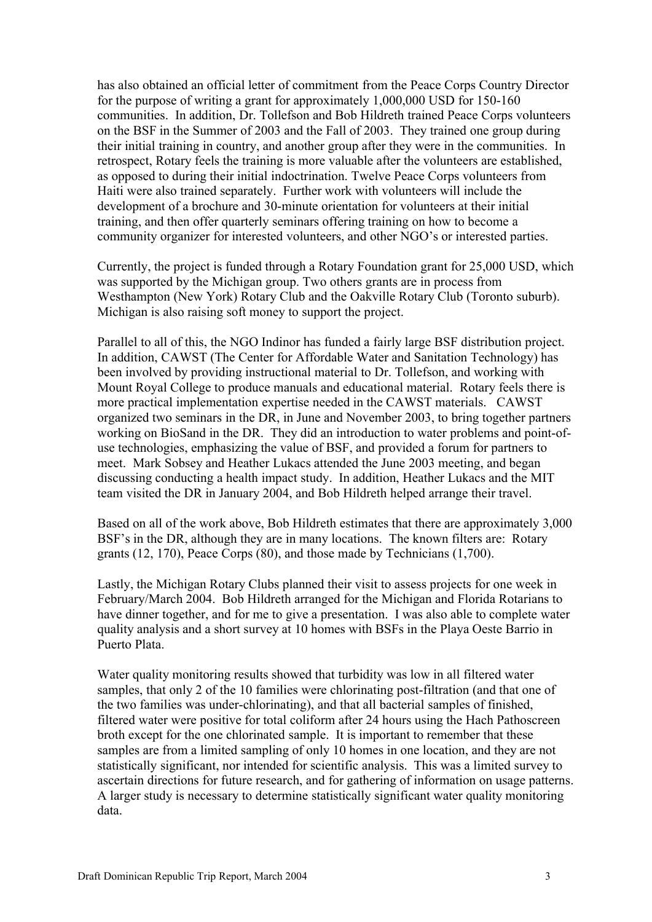**has also obtained an official letter of commitment from the Peace Corps Country Director for the purpose of writing a grant for approximately 1,000,000 USD for 150-160 communities. In addition, Dr. Tollefson and Bob Hildreth trained Peace Corps volunteers on the BSF in the Summer of 2003 and the Fall of 2003. They trained one group during their initial training in country, and another group after they were in the communities. In retrospect, Rotary feels the training is more valuable after the volunteers are established, as opposed to during their initial indoctrination. Twelve Peace Corps volunteers from Haiti were also trained separately. Further work with volunteers will include the development of a brochure and 30-minute orientation for volunteers at their initial training, and then offer quarterly seminars offering training on how to become a community organizer for interested volunteers, and other NGO's or interested parties.**

**Currently, the project is funded through a Rotary Foundation grant for 25,000 USD, which was supported by the Michigan group. Two others grants are in process from Westhampton (New York) Rotary Club and the Oakville Rotary Club (Toronto suburb). Michigan is also raising soft money to support the project.**

**Parallel to all of this, the NGO Indinor has funded a fairly large BSF distribution project. In addition, CAWST (The Center for Affordable Water and Sanitation Technology) has been involved by providing instructional material to Dr. Tollefson, and working with Mount Royal College to produce manuals and educational material. Rotary feels there is more practical implementation expertise needed in the CAWST materials. CAWST organized two seminars in the DR, in June and November 2003, to bring together partners working on BioSand in the DR. They did an introduction to water problems and point-ofuse technologies, emphasizing the value of BSF, and provided a forum for partners to meet. Mark Sobsey and Heather Lukacs attended the June 2003 meeting, and began discussing conducting a health impact study. In addition, Heather Lukacs and the MIT team visited the DR in January 2004, and Bob Hildreth helped arrange their travel.**

**Based on all of the work above, Bob Hildreth estimates that there are approximately 3,000 BSF's in the DR, although they are in many locations. The known filters are: Rotary grants (12, 170), Peace Corps (80), and those made by Technicians (1,700).**

**Lastly, the Michigan Rotary Clubs planned their visit to assess projects for one week in February/March 2004. Bob Hildreth arranged for the Michigan and Florida Rotarians to have dinner together, and for me to give a presentation. I was also able to complete water quality analysis and a short survey at 10 homes with BSFs in the Playa Oeste Barrio in Puerto Plata.**

**Water quality monitoring results showed that turbidity was low in all filtered water samples, that only 2 of the 10 families were chlorinating post-filtration (and that one of the two families was under-chlorinating), and that all bacterial samples of finished, filtered water were positive for total coliform after 24 hours using the Hach Pathoscreen broth except for the one chlorinated sample. It is important to remember that these samples are from a limited sampling of only 10 homes in one location, and they are not statistically significant, nor intended for scientific analysis. This was a limited survey to ascertain directions for future research, and for gathering of information on usage patterns. A larger study is necessary to determine statistically significant water quality monitoring data.**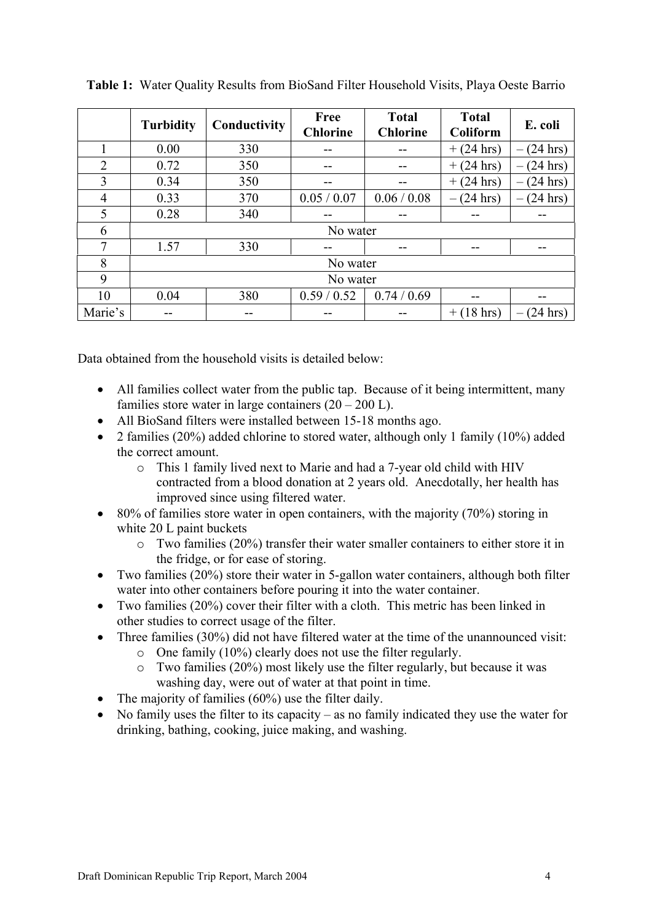|                | <b>Turbidity</b> | Conductivity | Free<br><b>Chlorine</b> | <b>Total</b><br><b>Chlorine</b> | <b>Total</b><br><b>Coliform</b> | E. coli            |
|----------------|------------------|--------------|-------------------------|---------------------------------|---------------------------------|--------------------|
|                | 0.00             | 330          |                         |                                 | $+ (24 hrs)$                    | (24 hrs)           |
| $\overline{2}$ | 0.72             | 350          |                         |                                 | $+ (24 \text{ hrs})$            | $(24 \text{ hrs})$ |
| 3              | 0.34             | 350          |                         |                                 | $(24 \text{ hrs})$<br>$+$       | $(24 \text{ hrs})$ |
| 4              | 0.33             | 370          | 0.05 / 0.07             | 0.06 / 0.08                     | (24 hrs)<br>$\qquad \qquad -$   | $(24 \text{ hrs})$ |
| 5              | 0.28             | 340          |                         |                                 |                                 |                    |
| 6              | No water         |              |                         |                                 |                                 |                    |
| $\overline{7}$ | 1.57             | 330          |                         |                                 |                                 |                    |
| 8              | No water         |              |                         |                                 |                                 |                    |
| 9              | No water         |              |                         |                                 |                                 |                    |
| 10             | 0.04             | 380          | 0.59/0.52               | 0.74/0.69                       |                                 |                    |
| Marie's        |                  |              |                         |                                 | $18$ hrs)<br>$^+$               | $(24 \text{ hrs})$ |

**Table 1: Water Quality Results from BioSand Filter Household Visits, Playa Oeste Barrio**

**Data obtained from the household visits is detailed below:**

- **All families collect water from the public tap. Because of it being intermittent, many families store water in large containers (20 – 200 L).**
- **All BioSand filters were installed between 15-18 months ago.**
- **2 families (20%) added chlorine to stored water, although only 1 family (10%) added the correct amount.**
	- **o This 1 family lived next to Marie and had a 7-year old child with HIV contracted from a blood donation at 2 years old. Anecdotally, her health has improved since using filtered water.**
- **80% of families store water in open containers, with the majority (70%) storing in white 20 L paint buckets**
	- **o Two families (20%) transfer their water smaller containers to either store it in the fridge, or for ease of storing.**
- **Two families (20%) store their water in 5-gallon water containers, although both filter water into other containers before pouring it into the water container.**
- **Two families (20%) cover their filter with a cloth. This metric has been linked in other studies to correct usage of the filter.**
- **Three families (30%) did not have filtered water at the time of the unannounced visit:**
	- **o One family (10%) clearly does not use the filter regularly.**
	- **o Two families (20%) most likely use the filter regularly, but because it was washing day, were out of water at that point in time.**
- **The majority of families (60%) use the filter daily.**
- **No family uses the filter to its capacity as no family indicated they use the water for drinking, bathing, cooking, juice making, and washing.**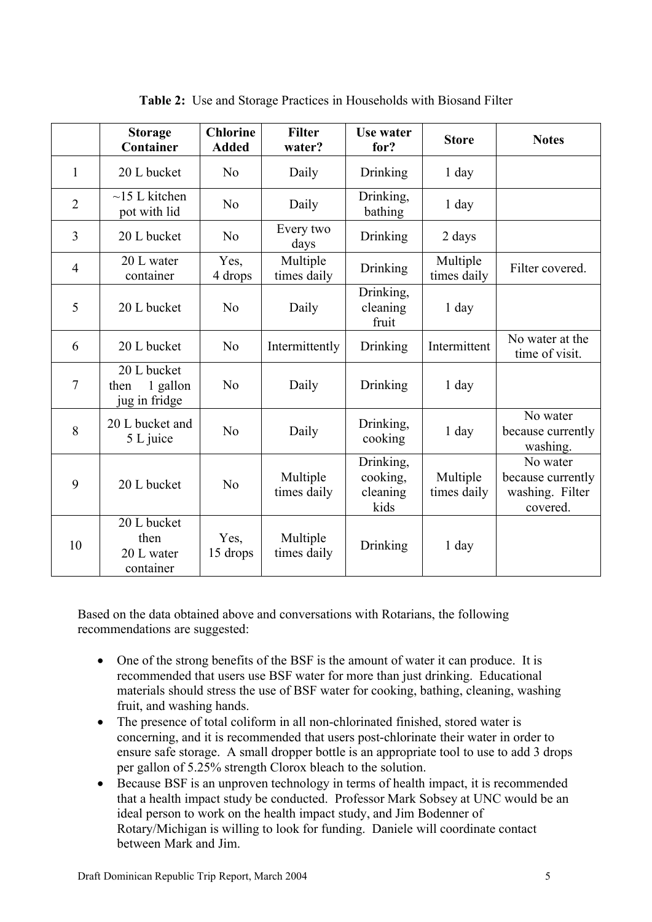|                | <b>Storage</b><br>Container                      | <b>Chlorine</b><br><b>Added</b> | <b>Filter</b><br>water? | Use water<br>for?                         | <b>Store</b>            | <b>Notes</b>                                                 |
|----------------|--------------------------------------------------|---------------------------------|-------------------------|-------------------------------------------|-------------------------|--------------------------------------------------------------|
| $\mathbf{1}$   | 20 L bucket                                      | No                              | Daily                   | Drinking                                  | $1$ day                 |                                                              |
| $\overline{2}$ | $\sim$ 15 L kitchen<br>pot with lid              | No                              | Daily                   | Drinking,<br>bathing                      | $1$ day                 |                                                              |
| $\overline{3}$ | 20 L bucket                                      | N <sub>o</sub>                  | Every two<br>days       | Drinking                                  | 2 days                  |                                                              |
| $\overline{4}$ | 20 L water<br>container                          | Yes,<br>4 drops                 | Multiple<br>times daily | Drinking                                  | Multiple<br>times daily | Filter covered.                                              |
| 5              | 20 L bucket                                      | No                              | Daily                   | Drinking,<br>cleaning<br>fruit            | $1$ day                 |                                                              |
| 6              | 20 L bucket                                      | No                              | Intermittently          | Drinking                                  | Intermittent            | No water at the<br>time of visit.                            |
| $\overline{7}$ | 20 L bucket<br>1 gallon<br>then<br>jug in fridge | N <sub>o</sub>                  | Daily                   | Drinking                                  | $1$ day                 |                                                              |
| 8              | 20 L bucket and<br>5 L juice                     | N <sub>o</sub>                  | Daily                   | Drinking,<br>cooking                      | $1$ day                 | No water<br>because currently<br>washing.                    |
| 9              | 20 L bucket                                      | N <sub>0</sub>                  | Multiple<br>times daily | Drinking,<br>cooking,<br>cleaning<br>kids | Multiple<br>times daily | No water<br>because currently<br>washing. Filter<br>covered. |
| 10             | 20 L bucket<br>then<br>20 L water<br>container   | Yes.<br>15 drops                | Multiple<br>times daily | Drinking                                  | $1$ day                 |                                                              |

**Table 2: Use and Storage Practices in Households with Biosand Filter**

**Based on the data obtained above and conversations with Rotarians, the following recommendations are suggested:**

- **One of the strong benefits of the BSF is the amount of water it can produce. It is recommended that users use BSF water for more than just drinking. Educational materials should stress the use of BSF water for cooking, bathing, cleaning, washing fruit, and washing hands.**
- **The presence of total coliform in all non-chlorinated finished, stored water is concerning, and it is recommended that users post-chlorinate their water in order to ensure safe storage. A small dropper bottle is an appropriate tool to use to add 3 drops per gallon of 5.25% strength Clorox bleach to the solution.**
- **Because BSF is an unproven technology in terms of health impact, it is recommended that a health impact study be conducted. Professor Mark Sobsey at UNC would be an ideal person to work on the health impact study, and Jim Bodenner of Rotary/Michigan is willing to look for funding. Daniele will coordinate contact between Mark and Jim.**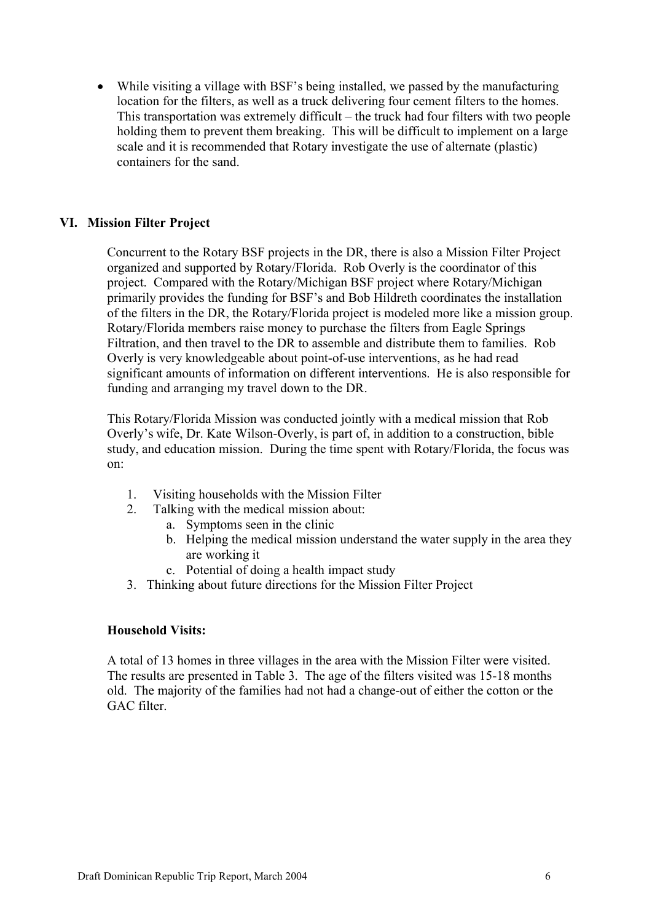**While visiting a village with BSF's being installed, we passed by the manufacturing location for the filters, as well as a truck delivering four cement filters to the homes. This transportation was extremely difficult – the truck had four filters with two people holding them to prevent them breaking. This will be difficult to implement on a large scale and it is recommended that Rotary investigate the use of alternate (plastic) containers for the sand.**

# **VI. Mission Filter Project**

**Concurrent to the Rotary BSF projects in the DR, there is also a Mission Filter Project organized and supported by Rotary/Florida. Rob Overly is the coordinator of this project. Compared with the Rotary/Michigan BSF project where Rotary/Michigan primarily provides the funding for BSF's and Bob Hildreth coordinates the installation of the filters in the DR, the Rotary/Florida project is modeled more like a mission group. Rotary/Florida members raise money to purchase the filters from Eagle Springs Filtration, and then travel to the DR to assemble and distribute them to families. Rob Overly is very knowledgeable about point-of-use interventions, as he had read significant amounts of information on different interventions. He is also responsible for funding and arranging my travel down to the DR.**

**This Rotary/Florida Mission was conducted jointly with a medical mission that Rob Overly's wife, Dr. Kate Wilson-Overly, is part of, in addition to a construction, bible study, and education mission. During the time spent with Rotary/Florida, the focus was on:**

- **1. Visiting households with the Mission Filter**
- **2. Talking with the medical mission about:**
	- **a. Symptoms seen in the clinic**
	- **b. Helping the medical mission understand the water supply in the area they are working it**
	- **c. Potential of doing a health impact study**
- **3. Thinking about future directions for the Mission Filter Project**

## **Household Visits:**

**A total of 13 homes in three villages in the area with the Mission Filter were visited. The results are presented in Table 3. The age of the filters visited was 15-18 months old. The majority of the families had not had a change-out of either the cotton or the GAC filter.**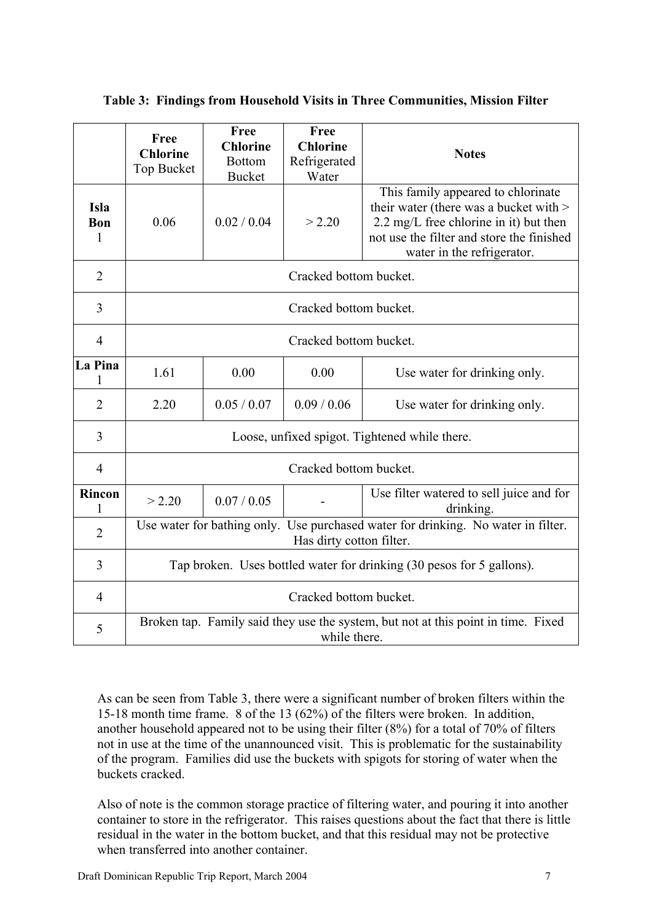|                  | Free<br><b>Chlorine</b><br>Top Bucket                                                                         | Free<br><b>Chlorine</b><br><b>Bottom</b><br><b>Bucket</b> | Free<br><b>Chlorine</b><br>Refrigerated<br>Water | <b>Notes</b>                                                                                                                                                                                      |  |
|------------------|---------------------------------------------------------------------------------------------------------------|-----------------------------------------------------------|--------------------------------------------------|---------------------------------------------------------------------------------------------------------------------------------------------------------------------------------------------------|--|
| Isla<br>Bon<br>1 | 0.06                                                                                                          | 0.02 / 0.04                                               | > 2.20                                           | This family appeared to chlorinate<br>their water (there was a bucket with ><br>2.2 mg/L free chlorine in it) but then<br>not use the filter and store the finished<br>water in the refrigerator. |  |
| $\overline{2}$   | Cracked bottom bucket.                                                                                        |                                                           |                                                  |                                                                                                                                                                                                   |  |
| 3                | Cracked bottom bucket.                                                                                        |                                                           |                                                  |                                                                                                                                                                                                   |  |
| $\overline{4}$   | Cracked bottom bucket.                                                                                        |                                                           |                                                  |                                                                                                                                                                                                   |  |
| La Pina<br>1     | 1.61                                                                                                          | 0.00                                                      | 0.00                                             | Use water for drinking only.                                                                                                                                                                      |  |
| $\overline{2}$   | 2.20                                                                                                          | 0.05 / 0.07                                               | 0.09 / 0.06                                      | Use water for drinking only.                                                                                                                                                                      |  |
| 3                | Loose, unfixed spigot. Tightened while there.                                                                 |                                                           |                                                  |                                                                                                                                                                                                   |  |
| $\overline{4}$   | Cracked bottom bucket.                                                                                        |                                                           |                                                  |                                                                                                                                                                                                   |  |
| <b>Rincon</b>    | > 2.20                                                                                                        | 0.07 / 0.05                                               |                                                  | Use filter watered to sell juice and for<br>drinking.                                                                                                                                             |  |
| $\overline{2}$   | Use water for bathing only. Use purchased water for drinking. No water in filter.<br>Has dirty cotton filter. |                                                           |                                                  |                                                                                                                                                                                                   |  |
| 3                | Tap broken. Uses bottled water for drinking (30 pesos for 5 gallons).                                         |                                                           |                                                  |                                                                                                                                                                                                   |  |
| $\overline{4}$   | Cracked bottom bucket.                                                                                        |                                                           |                                                  |                                                                                                                                                                                                   |  |
| 5                | Broken tap. Family said they use the system, but not at this point in time. Fixed<br>while there.             |                                                           |                                                  |                                                                                                                                                                                                   |  |

**As can be seen from Table 3, there were a significant number of broken filters within the 15-18 month time frame. 8 of the 13 (62%) of the filters were broken. In addition, another household appeared not to be using their filter (8%) for a total of 70% of filters not in use at the time of the unannounced visit. This is problematic for the sustainability of the program. Families did use the buckets with spigots for storing of water when the buckets cracked.**

**Also of note is the common storage practice of filtering water, and pouring it into another container to store in the refrigerator. This raises questions about the fact that there is little residual in the water in the bottom bucket, and that this residual may not be protective when transferred into another container.**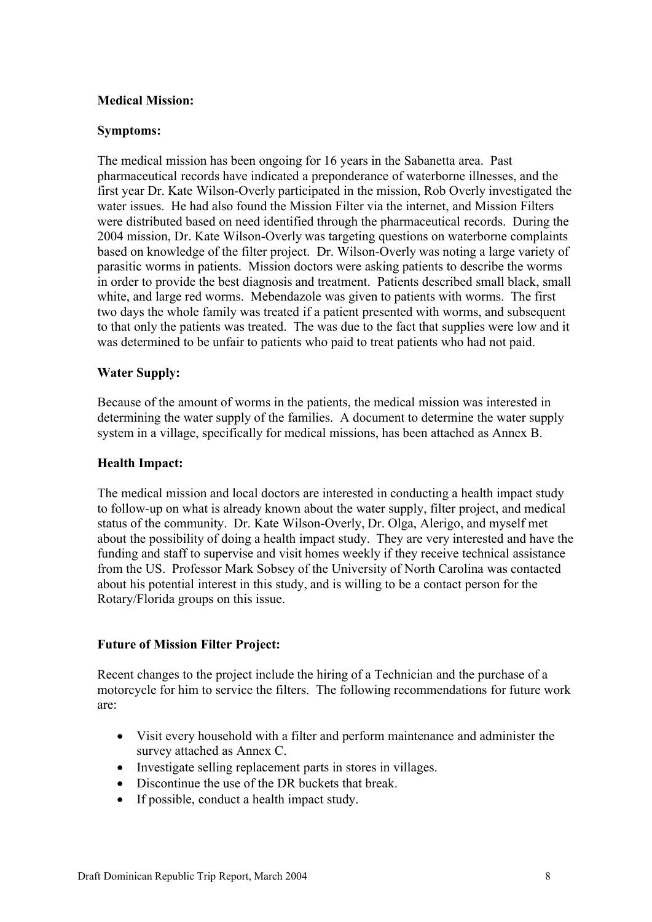## **Medical Mission:**

## **Symptoms:**

**The medical mission has been ongoing for 16 years in the Sabanetta area. Past pharmaceutical records have indicated a preponderance of waterborne illnesses, and the first year Dr. Kate Wilson-Overly participated in the mission, Rob Overly investigated the water issues. He had also found the Mission Filter via the internet, and Mission Filters were distributed based on need identified through the pharmaceutical records. During the 2004 mission, Dr. Kate Wilson-Overly was targeting questions on waterborne complaints based on knowledge of the filter project. Dr. Wilson-Overly was noting a large variety of parasitic worms in patients. Mission doctors were asking patients to describe the worms in order to provide the best diagnosis and treatment. Patients described small black, small white, and large red worms. Mebendazole was given to patients with worms. The first two days the whole family was treated if a patient presented with worms, and subsequent to that only the patients was treated. The was due to the fact that supplies were low and it was determined to be unfair to patients who paid to treat patients who had not paid.**

## **Water Supply:**

**Because of the amount of worms in the patients, the medical mission was interested in determining the water supply of the families. A document to determine the water supply system in a village, specifically for medical missions, has been attached as Annex B.**

## **Health Impact:**

**The medical mission and local doctors are interested in conducting a health impact study to follow-up on what is already known about the water supply, filter project, and medical status of the community. Dr. Kate Wilson-Overly, Dr. Olga, Alerigo, and myself met about the possibility of doing a health impact study. They are very interested and have the funding and staff to supervise and visit homes weekly if they receive technical assistance from the US. Professor Mark Sobsey of the University of North Carolina was contacted about his potential interest in this study, and is willing to be a contact person for the Rotary/Florida groups on this issue.**

## **Future of Mission Filter Project:**

**Recent changes to the project include the hiring of a Technician and the purchase of a motorcycle for him to service the filters. The following recommendations for future work are:**

- **Visit every household with a filter and perform maintenance and administer the survey attached as Annex C.**
- **Investigate selling replacement parts in stores in villages.**
- **Discontinue the use of the DR buckets that break.**
- **If possible, conduct a health impact study.**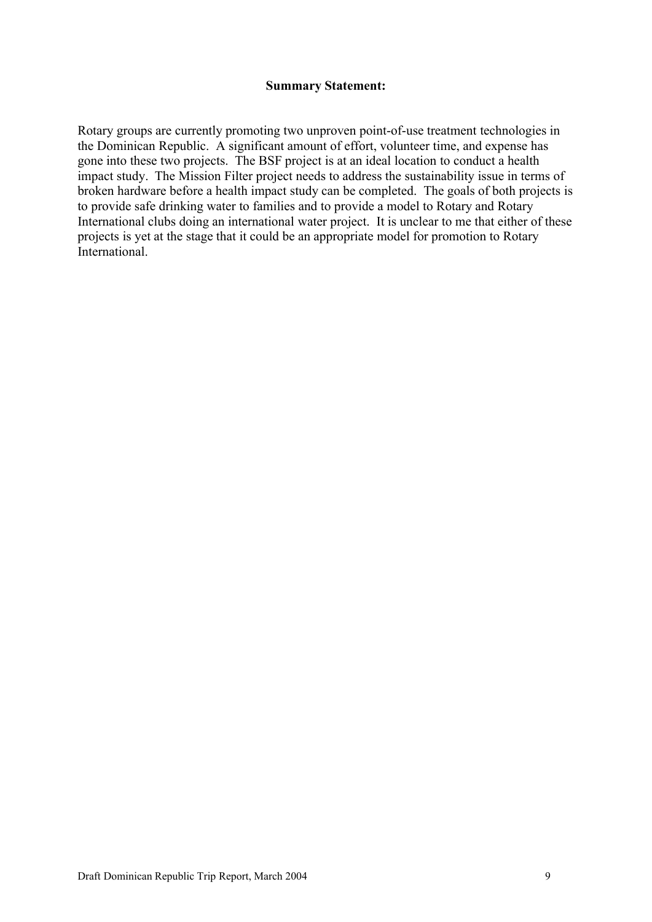#### **Summary Statement:**

**Rotary groups are currently promoting two unproven point-of-use treatment technologies in the Dominican Republic. A significant amount of effort, volunteer time, and expense has gone into these two projects. The BSF project is at an ideal location to conduct a health impact study. The Mission Filter project needs to address the sustainability issue in terms of broken hardware before a health impact study can be completed. The goals of both projects is to provide safe drinking water to families and to provide a model to Rotary and Rotary International clubs doing an international water project. It is unclear to me that either of these projects is yet at the stage that it could be an appropriate model for promotion to Rotary International.**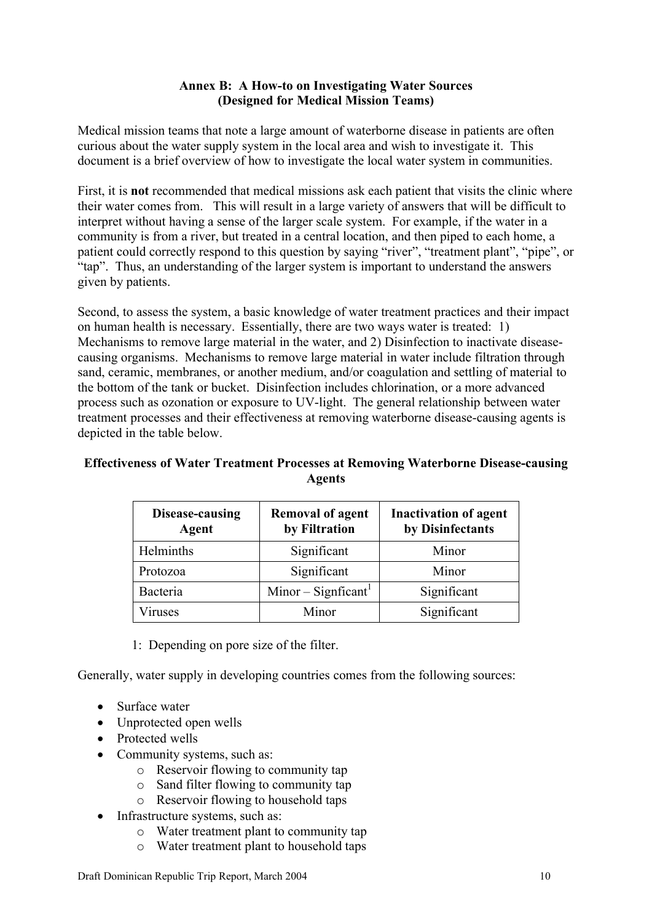# **Annex B: A How-to on Investigating Water Sources (Designed for Medical Mission Teams)**

**Medical mission teams that note a large amount of waterborne disease in patients are often curious about the water supply system in the local area and wish to investigate it. This document is a brief overview of how to investigate the local water system in communities.**

**First, it is not recommended that medical missions ask each patient that visits the clinic where their water comes from. This will result in a large variety of answers that will be difficult to interpret without having a sense of the larger scale system. For example, if the water in a community is from a river, but treated in a central location, and then piped to each home, a patient could correctly respond to this question by saying "river", "treatment plant", "pipe", or "tap". Thus, an understanding of the larger system is important to understand the answers given by patients.**

**Second, to assess the system, a basic knowledge of water treatment practices and their impact on human health is necessary. Essentially, there are two ways water is treated: 1) Mechanisms to remove large material in the water, and 2) Disinfection to inactivate diseasecausing organisms. Mechanisms to remove large material in water include filtration through sand, ceramic, membranes, or another medium, and/or coagulation and settling of material to the bottom of the tank or bucket. Disinfection includes chlorination, or a more advanced process such as ozonation or exposure to UV-light. The general relationship between water treatment processes and their effectiveness at removing waterborne disease-causing agents is depicted in the table below.**

| Disease-causing<br><b>Agent</b> | <b>Removal of agent</b><br>by Filtration | <b>Inactivation of agent</b><br>by Disinfectants |  |
|---------------------------------|------------------------------------------|--------------------------------------------------|--|
| Helminths                       | Significant                              | Minor                                            |  |
| Protozoa                        | Significant                              | Minor                                            |  |
| Bacteria                        | Minor – Signficant                       | Significant                                      |  |
| Viruses                         | Minor                                    | Significant                                      |  |

# **Effectiveness of Water Treatment Processes at Removing Waterborne Disease-causing Agents**

**1: Depending on pore size of the filter.**

**Generally, water supply in developing countries comes from the following sources:**

- **Surface water**
- **Unprotected open wells**
- Protected wells
- **Community systems, such as:**
	- **o Reservoir flowing to community tap**
	- **o Sand filter flowing to community tap**
	- **o Reservoir flowing to household taps**
- **Infrastructure systems, such as:**
	- **o Water treatment plant to community tap**
	- **o Water treatment plant to household taps**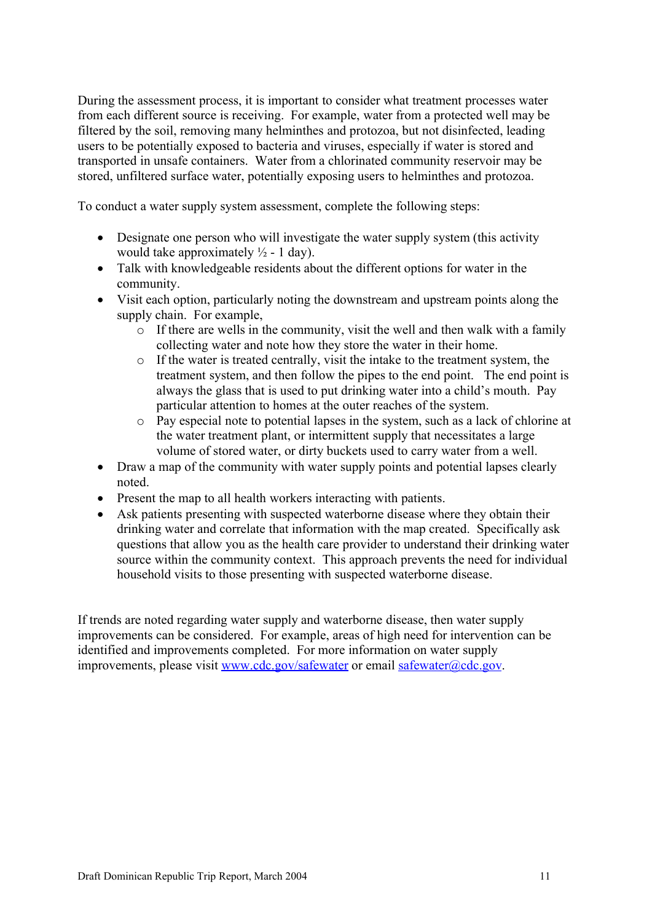**During the assessment process, it is important to consider what treatment processes water from each different source is receiving. For example, water from a protected well may be filtered by the soil, removing many helminthes and protozoa, but not disinfected, leading users to be potentially exposed to bacteria and viruses, especially if water is stored and transported in unsafe containers. Water from a chlorinated community reservoir may be stored, unfiltered surface water, potentially exposing users to helminthes and protozoa.**

**To conduct a water supply system assessment, complete the following steps:**

- **Designate one person who will investigate the water supply system (this activity would take approximately ½ - 1 day).**
- **Talk with knowledgeable residents about the different options for water in the community.**
- **Visit each option, particularly noting the downstream and upstream points along the supply chain. For example,**
	- **o If there are wells in the community, visit the well and then walk with a family collecting water and note how they store the water in their home.**
	- **o If the water is treated centrally, visit the intake to the treatment system, the treatment system, and then follow the pipes to the end point. The end point is always the glass that is used to put drinking water into a child's mouth. Pay particular attention to homes at the outer reaches of the system.**
	- **o Pay especial note to potential lapses in the system, such as a lack of chlorine at the water treatment plant, or intermittent supply that necessitates a large volume of stored water, or dirty buckets used to carry water from a well.**
- Draw a map of the community with water supply points and potential lapses clearly **noted.**
- **Present the map to all health workers interacting with patients.**
- **Ask patients presenting with suspected waterborne disease where they obtain their drinking water and correlate that information with the map created. Specifically ask questions that allow you as the health care provider to understand their drinking water source within the community context. This approach prevents the need for individual household visits to those presenting with suspected waterborne disease.**

**If trends are noted regarding water supply and waterborne disease, then water supply improvements can be considered. For example, areas of high need for intervention can be identified and improvements completed. For more information on water supply improvements, please visit [www.cdc.gov/safewater](../../../../DavidManz%20-%20Resources/files%20from%20david/docs/www.cdc.gov/safewater) or email safewater@cdc.gov.**